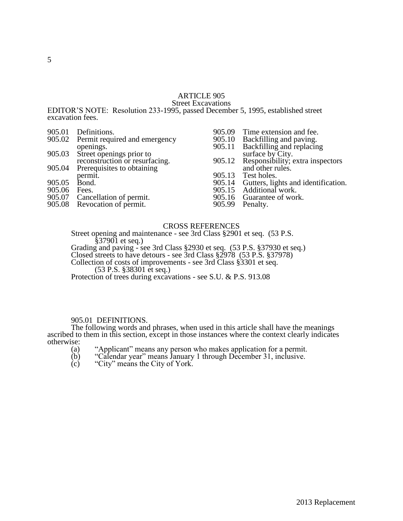### ARTICLE 905 Street Excavations

EDITOR'S NOTE: Resolution 233-1995, passed December 5, 1995, established street excavation fees.

|        | 905.01 Definitions.                  | 905.09 | Time extension and fee.                                            |
|--------|--------------------------------------|--------|--------------------------------------------------------------------|
|        | 905.02 Permit required and emergency |        |                                                                    |
|        | openings.                            |        | 905.10 Backfilling and paving.<br>905.11 Backfilling and replacing |
|        | 905.03 Street openings prior to      |        | surface by City.                                                   |
|        | reconstruction or resurfacing.       | 905.12 | Responsibility; extra inspectors                                   |
|        | 905.04 Prerequisites to obtaining    |        | and other rules.                                                   |
|        | permit.                              | 905.13 | Test holes.                                                        |
| 905.05 | Bond.                                |        | 905.14 Gutters, lights and identification.                         |
| 905.06 | Fees.                                | 905.15 | Additional work.                                                   |
|        | 905.07 Cancellation of permit.       |        | 905.16 Guarantee of work.                                          |
|        | 905.08 Revocation of permit.         | 905.99 | Penalty.                                                           |
|        |                                      |        |                                                                    |

### CROSS REFERENCES

Street opening and maintenance - see 3rd Class §2901 et seq. (53 P.S. §37901 et seq.)

Grading and paving - see 3rd Class §2930 et seq. (53 P.S. §37930 et seq.) Closed streets to have detours - see 3rd Class §2978 (53 P.S. §37978) Collection of costs of improvements - see 3rd Class §3301 et seq.

(53 P.S. §38301 et seq.)

Protection of trees during excavations - see S.U. & P.S. 913.08

### 905.01 DEFINITIONS.

The following words and phrases, when used in this article shall have the meanings ascribed to them in this section, except in those instances where the context clearly indicates otherwise:

- (a) "Applicant" means any person who makes application for a permit.
- (b) "Calendar year" means January 1 through December 31, inclusive.
- $(c)$  "City" means the City of York.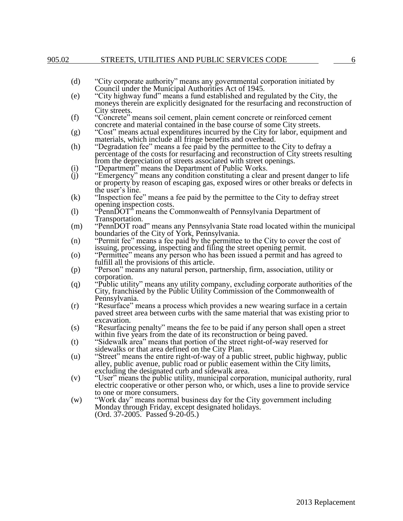### 905.02 STREETS, UTILITIES AND PUBLIC SERVICES CODE 6

- (d) "City corporate authority" means any governmental corporation initiated by Council under the Municipal Authorities Act of 1945.
- (e) "City highway fund" means a fund established and regulated by the City, the moneys therein are explicitly designated for the resurfacing and reconstruction of City streets.
- (f) "Concrete" means soil cement, plain cement concrete or reinforced cement concrete and material contained in the base course of some City streets.
- (g) "Cost" means actual expenditures incurred by the City for labor, equipment and materials, which include all fringe benefits and overhead.
- (h) "Degradation fee" means a fee paid by the permittee to the City to defray a percentage of the costs for resurfacing and reconstruction of City streets resulting from the depreciation of streets associated with street openings.
- (i) "Department" means the Department of Public Works.
- (j) "Emergency" means any condition constituting a clear and present danger to life or property by reason of escaping gas, exposed wires or other breaks or defects in the user's line.
- (k) "Inspection fee" means a fee paid by the permittee to the City to defray street opening inspection costs.
- (l) "PennDOT" means the Commonwealth of Pennsylvania Department of Transportation.
- (m) "PennDOT road" means any Pennsylvania State road located within the municipal boundaries of the City of York, Pennsylvania.
- (n) "Permit fee" means a fee paid by the permittee to the City to cover the cost of issuing, processing, inspecting and filing the street opening permit.
- (o) "Permittee" means any person who has been issued a permit and has agreed to fulfill all the provisions of this article.
- (p) "Person" means any natural person, partnership, firm, association, utility or corporation.
- (q) "Public utility" means any utility company, excluding corporate authorities of the City, franchised by the Public Utility Commission of the Commonwealth of Pennsylvania.
- (r) "Resurface" means a process which provides a new wearing surface in a certain paved street area between curbs with the same material that was existing prior to excavation.
- (s) "Resurfacing penalty" means the fee to be paid if any person shall open a street within five years from the date of its reconstruction or being paved.
- (t) "Sidewalk area" means that portion of the street right-of-way reserved for sidewalks or that area defined on the City Plan.
- (u) "Street" means the entire right-of-way of a public street, public highway, public alley, public avenue, public road or public easement within the City limits, excluding the designated curb and sidewalk area.
- (v) "User" means the public utility, municipal corporation, municipal authority, rural electric cooperative or other person who, or which, uses a line to provide service to one or more consumers.
- (w) "Work day" means normal business day for the City government including Monday through Friday, except designated holidays. (Ord. 37-2005. Passed 9-20-05.)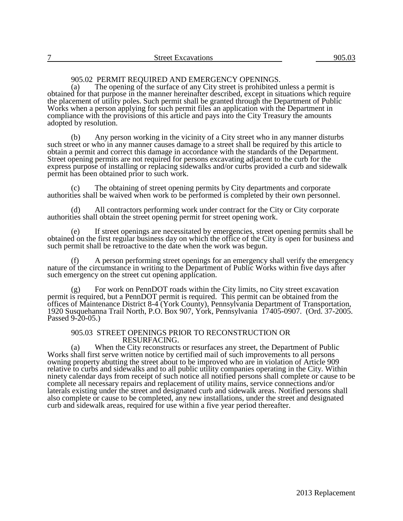# 905.02 PERMIT REQUIRED AND EMERGENCY OPENINGS.<br>(a) The opening of the surface of any City street is prohibited u

The opening of the surface of any City street is prohibited unless a permit is obtained for that purpose in the manner hereinafter described, except in situations which require the placement of utility poles. Such permit shall be granted through the Department of Public Works when a person applying for such permit files an application with the Department in compliance with the provisions of this article and pays into the City Treasury the amounts adopted by resolution.

(b) Any person working in the vicinity of a City street who in any manner disturbs such street or who in any manner causes damage to a street shall be required by this article to obtain a permit and correct this damage in accordance with the standards of the Department. Street opening permits are not required for persons excavating adjacent to the curb for the express purpose of installing or replacing sidewalks and/or curbs provided a curb and sidewalk permit has been obtained prior to such work.

(c) The obtaining of street opening permits by City departments and corporate authorities shall be waived when work to be performed is completed by their own personnel.

(d) All contractors performing work under contract for the City or City corporate authorities shall obtain the street opening permit for street opening work.

(e) If street openings are necessitated by emergencies, street opening permits shall be obtained on the first regular business day on which the office of the City is open for business and such permit shall be retroactive to the date when the work was begun.

(f) A person performing street openings for an emergency shall verify the emergency nature of the circumstance in writing to the Department of Public Works within five days after such emergency on the street cut opening application.

(g) For work on PennDOT roads within the City limits, no City street excavation permit is required, but a PennDOT permit is required. This permit can be obtained from the offices of Maintenance District 8-4 (York County), Pennsylvania Department of Transportation, 1920 Susquehanna Trail North, P.O. Box 907, York, Pennsylvania 17405-0907. (Ord. 37-2005. Passed 9-20-05.)

### 905.03 STREET OPENINGS PRIOR TO RECONSTRUCTION OR RESURFACING.

(a) When the City reconstructs or resurfaces any street, the Department of Public Works shall first serve written notice by certified mail of such improvements to all persons owning property abutting the street about to be improved who are in violation of Article 909 relative to curbs and sidewalks and to all public utility companies operating in the City. Within ninety calendar days from receipt of such notice all notified persons shall complete or cause to be complete all necessary repairs and replacement of utility mains, service connections and/or laterals existing under the street and designated curb and sidewalk areas. Notified persons shall also complete or cause to be completed, any new installations, under the street and designated curb and sidewalk areas, required for use within a five year period thereafter.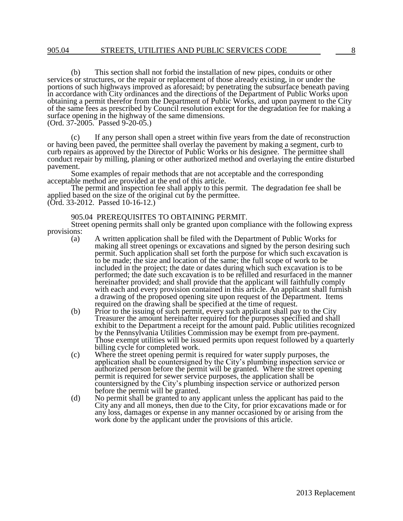(b) This section shall not forbid the installation of new pipes, conduits or other services or structures, or the repair or replacement of those already existing, in or under the portions of such highways improved as aforesaid; by penetrating the subsurface beneath paving in accordance with City ordinances and the directions of the Department of Public Works upon obtaining a permit therefor from the Department of Public Works, and upon payment to the City of the same fees as prescribed by Council resolution except for the degradation fee for making a surface opening in the highway of the same dimensions. (Ord. 37-2005. Passed 9-20-05.)

(c) If any person shall open a street within five years from the date of reconstruction or having been paved, the permittee shall overlay the pavement by making a segment, curb to curb repairs as approved by the Director of Public Works or his designee. The permittee shall conduct repair by milling, planing or other authorized method and overlaying the entire disturbed pavement.

Some examples of repair methods that are not acceptable and the corresponding acceptable method are provided at the end of this article.

The permit and inspection fee shall apply to this permit. The degradation fee shall be applied based on the size of the original cut by the permittee.

(Ord. 33-2012. Passed 10-16-12.)

### 905.04 PREREQUISITES TO OBTAINING PERMIT.

Street opening permits shall only be granted upon compliance with the following express provisions:

- (a) A written application shall be filed with the Department of Public Works for making all street openings or excavations and signed by the person desiring such permit. Such application shall set forth the purpose for which such excavation is to be made; the size and location of the same; the full scope of work to be included in the project; the date or dates during which such excavation is to be performed; the date such excavation is to be refilled and resurfaced in the manner hereinafter provided; and shall provide that the applicant will faithfully comply with each and every provision contained in this article. An applicant shall furnish a drawing of the proposed opening site upon request of the Department. Items required on the drawing shall be specified at the time of request.
- (b) Prior to the issuing of such permit, every such applicant shall pay to the City Treasurer the amount hereinafter required for the purposes specified and shall exhibit to the Department a receipt for the amount paid. Public utilities recognized by the Pennsylvania Utilities Commission may be exempt from pre-payment. Those exempt utilities will be issued permits upon request followed by a quarterly billing cycle for completed work.
- (c) Where the street opening permit is required for water supply purposes, the application shall be countersigned by the City's plumbing inspection service or authorized person before the permit will be granted. Where the street opening permit is required for sewer service purposes, the application shall be countersigned by the City's plumbing inspection service or authorized person before the permit will be granted.
- (d) No permit shall be granted to any applicant unless the applicant has paid to the City any and all moneys, then due to the City, for prior excavations made or for any loss, damages or expense in any manner occasioned by or arising from the work done by the applicant under the provisions of this article.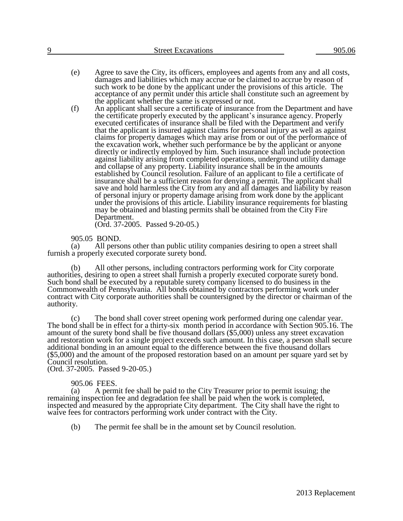- (e) Agree to save the City, its officers, employees and agents from any and all costs, damages and liabilities which may accrue or be claimed to accrue by reason of such work to be done by the applicant under the provisions of this article. The acceptance of any permit under this article shall constitute such an agreement by the applicant whether the same is expressed or not.
- (f) An applicant shall secure a certificate of insurance from the Department and have the certificate properly executed by the applicant's insurance agency. Properly executed certificates of insurance shall be filed with the Department and verify that the applicant is insured against claims for personal injury as well as against claims for property damages which may arise from or out of the performance of the excavation work, whether such performance be by the applicant or anyone directly or indirectly employed by him. Such insurance shall include protection against liability arising from completed operations, underground utility damage and collapse of any property. Liability insurance shall be in the amounts established by Council resolution. Failure of an applicant to file a certificate of insurance shall be a sufficient reason for denying a permit. The applicant shall save and hold harmless the City from any and all damages and liability by reason of personal injury or property damage arising from work done by the applicant under the provisions of this article. Liability insurance requirements for blasting may be obtained and blasting permits shall be obtained from the City Fire Department.

(Ord. 37-2005. Passed 9-20-05.)

905.05 BOND.

(a) All persons other than public utility companies desiring to open a street shall furnish a properly executed corporate surety bond.

(b) All other persons, including contractors performing work for City corporate authorities, desiring to open a street shall furnish a properly executed corporate surety bond. Such bond shall be executed by a reputable surety company licensed to do business in the Commonwealth of Pennsylvania. All bonds obtained by contractors performing work under contract with City corporate authorities shall be countersigned by the director or chairman of the authority.

(c) The bond shall cover street opening work performed during one calendar year. The bond shall be in effect for a thirty-six month period in accordance with Section 905.16. The amount of the surety bond shall be five thousand dollars (\$5,000) unless any street excavation and restoration work for a single project exceeds such amount. In this case, a person shall secure additional bonding in an amount equal to the difference between the five thousand dollars (\$5,000) and the amount of the proposed restoration based on an amount per square yard set by Council resolution.

(Ord. 37-2005. Passed 9-20-05.)

### 905.06 FEES.

(a) A permit fee shall be paid to the City Treasurer prior to permit issuing; the remaining inspection fee and degradation fee shall be paid when the work is completed, inspected and measured by the appropriate City department. The City shall have the right to waive fees for contractors performing work under contract with the City.

(b) The permit fee shall be in the amount set by Council resolution.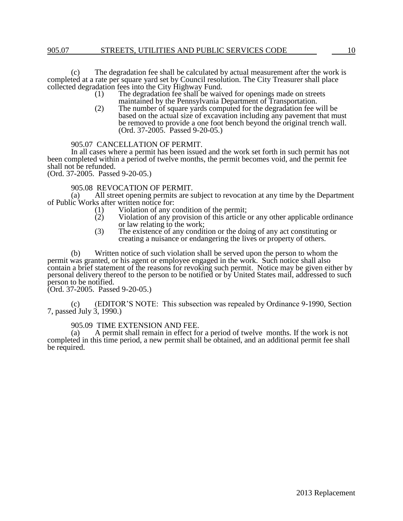### 905.07 STREETS, UTILITIES AND PUBLIC SERVICES CODE 10

(c) The degradation fee shall be calculated by actual measurement after the work is completed at a rate per square yard set by Council resolution. The City Treasurer shall place collected degradation fees into the City Highway Fund.<br>(1) The degradation fee shall be waiv

- The degradation fee shall be waived for openings made on streets maintained by the Pennsylvania Department of Transportation.
- (2) The number of square yards computed for the degradation fee will be based on the actual size of excavation including any pavement that must be removed to provide a one foot bench beyond the original trench wall. (Ord. 37-2005. Passed 9-20-05.)

### 905.07 CANCELLATION OF PERMIT.

In all cases where a permit has been issued and the work set forth in such permit has not been completed within a period of twelve months, the permit becomes void, and the permit fee shall not be refunded.

(Ord. 37-2005. Passed 9-20-05.)

# 905.08 REVOCATION OF PERMIT.<br>(a) All street opening permits are s

All street opening permits are subject to revocation at any time by the Department of Public Works after written notice for:

- (1) Violation of any condition of the permit;<br>(2) Violation of any provision of this article
- Violation of any provision of this article or any other applicable ordinance or law relating to the work;
- (3) The existence of any condition or the doing of any act constituting or creating a nuisance or endangering the lives or property of others.

(b) Written notice of such violation shall be served upon the person to whom the permit was granted, or his agent or employee engaged in the work. Such notice shall also contain a brief statement of the reasons for revoking such permit. Notice may be given either by personal delivery thereof to the person to be notified or by United States mail, addressed to such person to be notified.

(Ord. 37-2005. Passed 9-20-05.)

(c) (EDITOR'S NOTE: This subsection was repealed by Ordinance 9-1990, Section 7, passed July 3, 1990.)

## 905.09 TIME EXTENSION AND FEE.<br>(a) A permit shall remain in effect for

A permit shall remain in effect for a period of twelve months. If the work is not completed in this time period, a new permit shall be obtained, and an additional permit fee shall be required.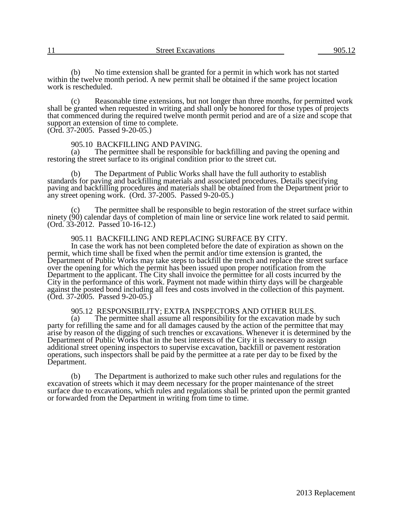(b) No time extension shall be granted for a permit in which work has not started within the twelve month period. A new permit shall be obtained if the same project location work is rescheduled.

(c) Reasonable time extensions, but not longer than three months, for permitted work shall be granted when requested in writing and shall only be honored for those types of projects that commenced during the required twelve month permit period and are of a size and scope that support an extension of time to complete.

(Ord. 37-2005. Passed 9-20-05.)

# 905.10 BACKFILLING AND PAVING.<br>(a) The permittee shall be responsible

The permittee shall be responsible for backfilling and paving the opening and restoring the street surface to its original condition prior to the street cut.

(b) The Department of Public Works shall have the full authority to establish standards for paving and backfilling materials and associated procedures. Details specifying paving and backfilling procedures and materials shall be obtained from the Department prior to any street opening work. (Ord. 37-2005. Passed 9-20-05.)

The permittee shall be responsible to begin restoration of the street surface within ninety (90) calendar days of completion of main line or service line work related to said permit. (Ord. 33-2012. Passed 10-16-12.)

### 905.11 BACKFILLING AND REPLACING SURFACE BY CITY.

In case the work has not been completed before the date of expiration as shown on the permit, which time shall be fixed when the permit and/or time extension is granted, the Department of Public Works may take steps to backfill the trench and replace the street surface over the opening for which the permit has been issued upon proper notification from the Department to the applicant. The City shall invoice the permittee for all costs incurred by the City in the performance of this work. Payment not made within thirty days will be chargeable against the posted bond including all fees and costs involved in the collection of this payment.  $(Ord. 37-2005.$  Passed 9-20-05.)

# 905.12 RESPONSIBILITY; EXTRA INSPECTORS AND OTHER RULES.<br>(a) The permittee shall assume all responsibility for the excavation made l

The permittee shall assume all responsibility for the excavation made by such party for refilling the same and for all damages caused by the action of the permittee that may arise by reason of the digging of such trenches or excavations. Whenever it is determined by the Department of Public Works that in the best interests of the City it is necessary to assign additional street opening inspectors to supervise excavation, backfill or pavement restoration operations, such inspectors shall be paid by the permittee at a rate per day to be fixed by the Department.

(b) The Department is authorized to make such other rules and regulations for the excavation of streets which it may deem necessary for the proper maintenance of the street surface due to excavations, which rules and regulations shall be printed upon the permit granted or forwarded from the Department in writing from time to time.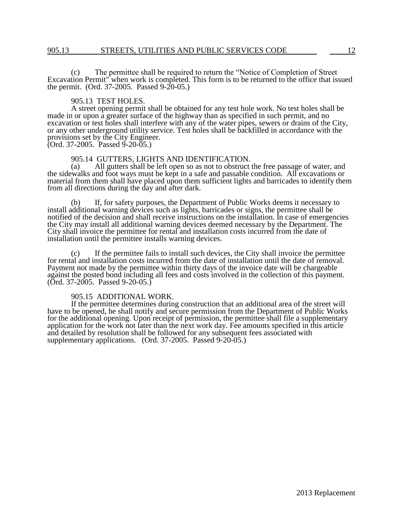### 905.13 STREETS, UTILITIES AND PUBLIC SERVICES CODE 22

(c) The permittee shall be required to return the "Notice of Completion of Street Excavation Permit" when work is completed. This form is to be returned to the office that issued the permit. (Ord. 37-2005. Passed 9-20-05.)

### 905.13 TEST HOLES.

A street opening permit shall be obtained for any test hole work. No test holes shall be made in or upon a greater surface of the highway than as specified in such permit, and no excavation or test holes shall interfere with any of the water pipes, sewers or drains of the City, or any other underground utility service. Test holes shall be backfilled in accordance with the provisions set by the City Engineer.

 $(Ord. 37-2005.$  Passed  $9-20-05.$ )

## 905.14 GUTTERS, LIGHTS AND IDENTIFICATION.<br>(a) All gutters shall be left open so as not to obstruct

All gutters shall be left open so as not to obstruct the free passage of water, and the sidewalks and foot ways must be kept in a safe and passable condition. All excavations or material from them shall have placed upon them sufficient lights and barricades to identify them from all directions during the day and after dark.

(b) If, for safety purposes, the Department of Public Works deems it necessary to install additional warning devices such as lights, barricades or signs, the permittee shall be notified of the decision and shall receive instructions on the installation. In case of emergencies the City may install all additional warning devices deemed necessary by the Department. The City shall invoice the permittee for rental and installation costs incurred from the date of installation until the permittee installs warning devices.

(c) If the permittee fails to install such devices, the City shall invoice the permittee for rental and installation costs incurred from the date of installation until the date of removal. Payment not made by the permittee within thirty days of the invoice date will be chargeable against the posted bond including all fees and costs involved in the collection of this payment.  $(Ord. 37-2005.$  Passed 9-20-05.)

### 905.15 ADDITIONAL WORK.

If the permittee determines during construction that an additional area of the street will have to be opened, he shall notify and secure permission from the Department of Public Works for the additional opening. Upon receipt of permission, the permittee shall file a supplementary application for the work not later than the next work day. Fee amounts specified in this article and detailed by resolution shall be followed for any subsequent fees associated with supplementary applications. (Ord. 37-2005. Passed 9-20-05.)